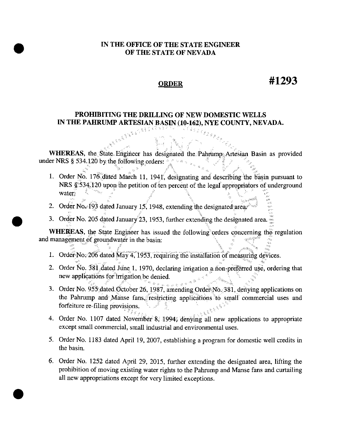## IN THE OFFICE OF THE STATE ENGINEER OF THE STATE OF NEVADA

## **ORDER**

## #1293

## PROHIBITING THE DRILLING OF NEW DOMESTIC WELLS IN THE PAHRUMP ARTESIAN BASIN (10-162), NYE COUNTY, NEVADA.

WHEREAS, the State Engineer has designated the Pahrump-Artesian Basin as provided under NRS § 534.120 by the following orders:  $\mathbb{E}_{\mathcal{F}}(z, \mathcal{D}) = \mathbb{E}$ 

- 1. Order No. 176 dated March 11, 1941, designating and describing the basin pursuant to NRS \$534.120 upon the petition of ten percent of the legal appropriators of underground water<sup>\*</sup>
- 2. Order No. 193 dated January 15, 1948, extending the designated areas
- 3. Order No. 205 dated January 23, 1953, further extending the designated area.

WHEREAS, the State Engineer has issued the following orders concerning the regulation and management of groundwater in the basin:

- 1. Order No.  $206$  dated May 4, 1953, requiring the installation of measuring devices.
- 2. Order No. 381 dated June 1, 1970, declaring irrigation a non-preferred use, ordering that new applications for irrigation be denied.
- 3. Order No. 955 dated October 26, 1987, amending Order No. 381, denying applications on the Pahrump and Manse fans, restricting applications to small commercial uses and forfeiture re-filing provisions.
- 4. Order No. 1107 dated November 8, 1994; denying all new applications to appropriate except small commercial, small industrial and environmental uses.
- 5. Order No. 1183 dated April 19, 2007, establishing a program for domestic well credits in the basin.
- 6. Order No. 1252 dated April 29, 2015, further extending the designated area, lifting the prohibition of moving existing water rights to the Pahrump and Manse fans and curtailing all new appropriations except for very limited exceptions.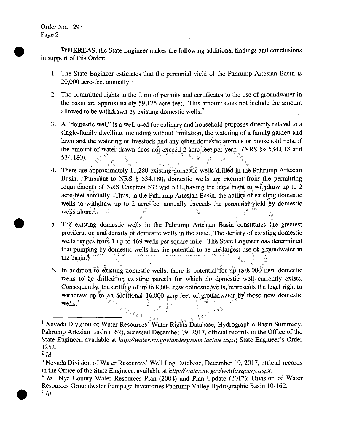Order No. 1293 Page 2

**WHEREAS**, the State Engineer makes the following additional findings and conclusions in support of this Order:

- 1. The State Engineer estimates that the perennial yield of the Pahrump Artesian Basin is 20,000 acre-feet annually.<sup>1</sup>
- 2. The committed rights in the form of permits and certificates to the use of groundwater in the basin are approximately 59,175 acre-feet. This amount does not include the amount allowed to be withdrawn by existing domestic wells.<sup>2</sup>
- 3. A "domestic well" is a well used for culinary and household purposes directly related to a single-family dwelling, including without limitation, the watering of a family garden and lawn and the watering of livestock and any other domestic animals or household pets, if the amount of water drawn does not exceed 2 acre-feet per year. (NRS §§ 534.013 and 534.180).
- 医弗里尔氏染血症 4. There are approximately 11,280 existing domestic wells drilled in the Pahrump Artesian Basin. Pursuant to NRS § 534.180, domestic wells are exempt from the permitting requirements of NRS Chapters 533 and 534. having the legal right to withdraw up to 2 acre-feet annually. Thus, in the Pahrump Artesian Basin, the ability of existing domestic wells to withdraw up to 2 acre-feet annually exceeds the perennial yield by domestic wells alone. $3$
- 5. The existing domestic wells in the Pahrump Artesian Basin constitutes the greatest proliferation and density of domestic wells in the state. The density of existing domestic wells ranges from 1 up to 469 wells per square mile. The State Engineer has determined that pumping by domestic wells has the potential to be the largest use of groundwater in the basin.<sup>4</sup>
- 6. In addition to existing domestic wells, there is potential for up to 8,000 new domestic wells to be drilled on existing parcels for which no domestic well currently exists. Consequently, the drilling of up to 8,000 new domestic wells, represents the legal right to withdraw up to an additional 16,000 acre-feet of groundwater by those new domestic **CHIS** Property of the Contract of the Contract of the Contract of the Contract of the Contract of the Contract of the Contract of the Contract of the Contract of the Contract of the Contract of the Contract of the Contrac wells<sup>5</sup>

<sup>&</sup>lt;sup>1</sup> Nevada Division of Water Resources' Water Rights Database, Hydrographic Basin Summary, Pahrump Artesian Basin (162), accessed December 19, 2017, official records in the Office of the State Engineer, available at http://water.nv.gov/undergroundactive.aspx; State Engineer's Order 1252.

 $^{2}$  Id.

<sup>&</sup>lt;sup>3</sup> Nevada Division of Water Resources' Well Log Database, December 19, 2017, official records in the Office of the State Engineer, available at http://water.nv.gov/welllogquery.aspx.

<sup>&</sup>lt;sup>4</sup> *Id.*; Nye County Water Resources Plan (2004) and Plan Update (2017); Division of Water Resources Groundwater Pumpage Inventories Pahrump Valley Hydrographic Basin 10-162.  $^5$  Id.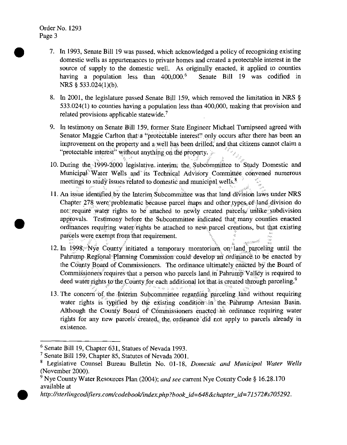Order No. 1293 Page 3

•

•

- 7. In 1993, Senate Bill 19 was passed, which acknowledged a policy of recognizing existing domestic wells as appurtenances to private homes and created a protectable interest in the source of supply to the domestic well. As originally enacted, it applied to counties having a population less than  $400,000$ .<sup>6</sup> Senate Bill 19 was codified in NRS § 533.024(1)(b).
- 8. In 2001, the legislature passed Senate Bill 159, which removed the limitation in NRS § 533.024(1) to counties having a population less than 400,000, making that provision and related provisions applicable statewide. <sup>7</sup>
- 9. In testimony on Senate Bill 159, former State Engineer Michael Turnipseed agreed with Senator Maggie Carlton that a "protectable interest" only occurs after there has been an improvement on the property and a well has been drilled; and that citizens cannot claim a "protectable interest" without anything on the property.
- '", "" { " 10. During the 1999-2000 legislative interim; the Subcommittee to Study Domestic and Municipal<sup>\*</sup>Water Wells and its Technical Advisory Committee convened numerous meetings to study issues related to domestic and municipal wells.<sup>8</sup>
- 11. An issue identified by the Interim Subcommittee was that land division laws under NRS Chapter 278 were problematic because parcel maps and other types, of land division do not: require water rights to be attached to newly created parcels. unlike subdivision approvals. Testimony before the Subcommittee indicated that: many counties enacted ordinances requiring water rights be attached to new parcel creations, but that existing parcels were exempt from that requirement.
- 12. In 1998, Nye County initiated a temporary moratorium on land parceling until the Pahrump Regional Planning Commission could develop an ordinance to be enacted by the County Board of Commissioners. The ordinance ultimately enacted by the Board of Commissioners requires that a person who parcels land in Pahrump Valley is required to deed water-rights to the County for each additional lot that is created through parceling.<sup>9</sup>
- 13. The concern of the finterim Subcommittee regarding parceling land without requiring water rights is typified by the existing condition in the Pahrump Artesian Basin. Although the County Board of Commissioners enacted an ordinance requiring water rights for any new parcels created, the ordinance did not apply to parcels already in existence.

 $6$  Senate Bill 19, Chapter 631, Statues of Nevada 1993.

 $7$  Senate Bill 159, Chapter 85, Statutes of Nevada 2001.

<sup>8</sup> Legislative Counsel Bureau Bulletin No. 01-18, *Domestic and Municipal Water Wells*  (November 2000).

<sup>9</sup>Nye County Water Resources Plan (2004); *and see* current Nye County Code§ 16.28.170 available at

<sup>•</sup> *http://sterlingcodifiers.com/codebooklindex.php?book\_id=648&chapter\_id=71572#s705292.*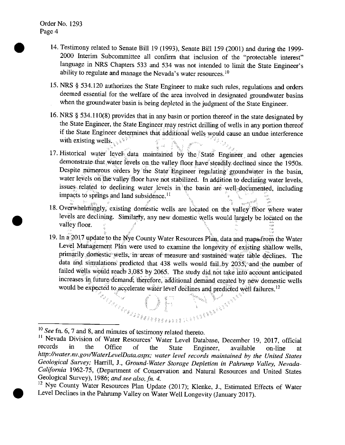•

•

•

- 14. Testimony related to Senate Bill 19 (1993), Senate Bill 159 (2001) and during the 1999- 2000 Interim Subcommittee all confirm that inclusion of the "protectable interest" language in NRS Chapters 533 and 534 was not intended to limit the State Engineer's ability to regulate and manage the Nevada's water resources. <sup>10</sup>
- 15. NRS § 534.120 authorizes the State Engineer to make such rules, regulations and orders deemed essential for the welfare of the area involved in designated groundwater basins when the groundwater basin is being depleted in the judgment of the State Engineer.
- 16. NRS § 534.110(8) provides that in any basin or portion thereof in the state designated by the State Engineer, the State Engineer may restrict drilling of wells in any portion thereof if the State Engineer determines that additional wells would cause an undue interference with existing wells.  $\mathcal{L}^{\text{c}}$
- 17. Historical water<sup>®</sup> level data maintained by the State Engineer and other agencies demonstrate that water fevels on the valley floor have steadily declined since the 1950s. Despite numerous orders by the State Engineer regulating groundwater in the basin, water levels on the valley floor have not stabilized. In addition to declining water levels, issues related to declining water levels in the basin are well-documented, including impacts to springs and land subsidence.<sup>11</sup>
- 18. Overwhelmingly, existing domestic wells are located on the valley floor where water levels are declining. Similarly, any new domestic wells would largely be located on the valley floor.
- 19. In a 2017 update to the Nye County Water Resources Plan, data and maps from the Water Level Management Plan were used to examine the longevity of existing shallow wells, primarily domestic wells; in areas of measure and sustained water table declines. The data and simulations predicted that 438 wells would fail. by 2035; and the number of failed wells would reach 3,085 by 2065. The study did not take into account anticipated increases in future demand; therefore, additional demand created by new domestic wells would be expected to accelerate water level declines and predicted well failures.<sup>12</sup>  $\begin{picture}(150,100) \put(150,100){\line(1,0){100}} \put(150,100){\line(1,0){100}} \put(150,100){\line(1,0){100}} \put(150,100){\line(1,0){100}} \put(150,100){\line(1,0){100}} \put(150,100){\line(1,0){100}} \put(150,100){\line(1,0){100}} \put(150,100){\line(1,0){100}} \put(150,100){\line(1,0){100}} \put(150,10$

<sup>10</sup>*See* fn. 6, 7 and 8, and minutes of testimony related thereto.

<sup>&</sup>lt;sup>11</sup> Nevada Division of Water Resources' Water Level Database, December 19, 2017, official records in the Office of the State Engineer available on-line at records in the Office of the State Engineer, available on-line at *http://water.nv.gov/WaterLevelData.aspx; water level records maintained by the United States Geological Survey;* Harrill, J., *Ground-Water Storage Depletion in Pahrump Valley, Nevada-California* 1962-75, (Department of Conservation and Natural Resources and United States Geological Survey), 1986; *and see also,* fn. *4.* 

<sup>&</sup>lt;sup>12</sup> Nye County Water Resources Plan Update (2017); Klenke, J., Estimated Effects of Water Level Declines in the Pahrump Valley on Water Well Longevity (January 2017).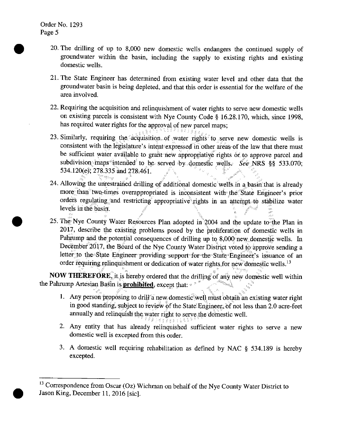•

•

•

- 20. The drilling of up to 8,000 new domestic wells endangers the continued supply of groundwater within the basin, including the supply to existing rights and existing domestic wells.
- 21. The State Engineer has determined from existing water level and other data that the groundwater basin is being depleted, and that this order is essential for the welfare of the area involved.
- 22. Requiring the acquisition and relinquishment of water rights to serve new domestic wells on existing parcels is consistent with Nye County Code§ 16.28.170, which, since 1998, has required water rights for the approval of new parcel maps;
- 23. Similarly, requiring the acquisition of water rights to serve new domestic wells is consistent with the legislature's intent\*expressed in other areas of the law that there must be sufficient water available to grant new appropriative rights of to approve parcel and subdivision maps<sup>\*</sup>intended<sup>\*</sup> to be served by domestic wells. See NRS §§ 533.070; 534.120(e): 278.335 and 278.461.
- 24. Allowing the unrestrained drilling of additional domestic wells in a basin that is already more than two-times overappropriated is inconsistent with the State Engineer's prior orders regulating and restricting appropriative rights in an attempt to stabilize water levels in the basin.
- 25. The Nye County Water Resources Plan adopted in  $2004$  and the update to the Plan in 2017, describe the existing problems posed by the proliferation of domestic wells in Pahrump and the potential consequences of drilling up to  $8,000$  new domestic wells. In December 2017, the Board of the Nye County Water District voted to approve sending a letter to the State Engineer providing support for the State Engineer's issuance of an order requiring relinquishment or dedication of water rights for new domestic wells.  $13$

**NOW THEREFORE**, it is hereby ordered that the drilling of any new domestic well within the Pahrump Artesian Basin is **prohibited**, except that:  $\approx$ 

- 1. Any person proposing to drill a new domestic well must obtain an existing water right in good standing, subject to review of the State Engineer, of not less than 2.0 acre-feet annually and relinquish the water right to serve the domestic well.
- 2. Any entity that has already relinquished sufficient water rights to serve a new domestic well is excepted from this order.
- 3. A domestic well requiring rehabilitation as defined by NAC § 534.189 is hereby excepted.

<sup>&</sup>lt;sup>13</sup> Correspondence from Oscar (Oz) Wichman on behalf of the Nye County Water District to Jason King, December 11, 2016 [sic].